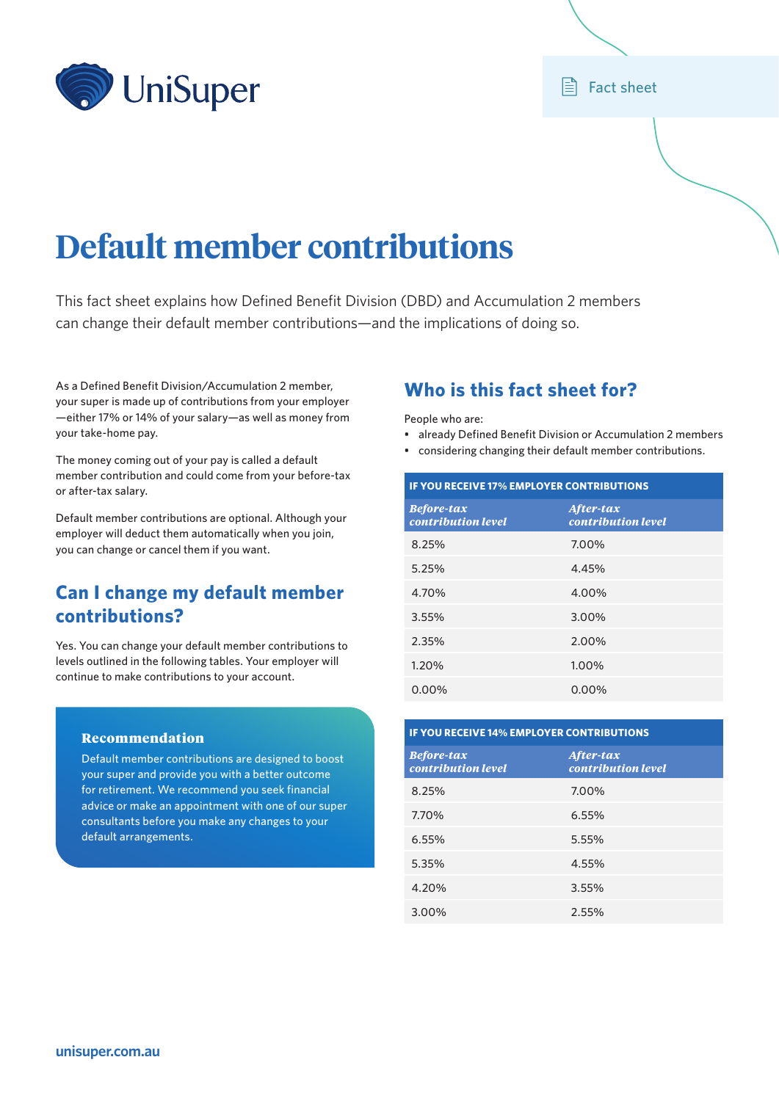

## **E** Fact sheet

# **Default member contributions**

This fact sheet explains how Defined Benefit Division (DBD) and Accumulation 2 members can change their default member contributions—and the implications of doing so.

As a Defined Benefit Division/Accumulation 2 member, your super is made up of contributions from your employer —either 17% or 14% of your salary—as well as money from your take‑home pay.

The money coming out of your pay is called a default member contribution and could come from your before-tax or after-tax salary.

Default member contributions are optional. Although your employer will deduct them automatically when you join, you can change or cancel them if you want.

# **Can I change my default member contributions?**

Yes. You can change your default member contributions to levels outlined in the following tables. Your employer will continue to make contributions to your account.

#### Recommendation

Default member contributions are designed to boost your super and provide you with a better outcome for retirement. We recommend you seek financial advice or make an appointment with one of our super consultants before you make any changes to your default arrangements.

# **Who is this fact sheet for?**

People who are:

- already Defined Benefit Division or Accumulation 2 members
- considering changing their default member contributions.

| <b>IF YOU RECEIVE 17% EMPLOYER CONTRIBUTIONS</b> |                                 |  |  |  |
|--------------------------------------------------|---------------------------------|--|--|--|
| <b>Before-tax</b><br>contribution level          | After-tax<br>contribution level |  |  |  |
| 8.25%                                            | 7.00%                           |  |  |  |
| 5.25%                                            | 4.45%                           |  |  |  |
| 4.70%                                            | 4.00%                           |  |  |  |
| 3.55%                                            | 3.00%                           |  |  |  |
| 2.35%                                            | 2.00%                           |  |  |  |
| 1.20%                                            | 1.00%                           |  |  |  |
| 0.00%                                            | 0.00%                           |  |  |  |

| <b>IF YOU RECEIVE 14% EMPLOYER CONTRIBUTIONS</b> |  |  |  |  |
|--------------------------------------------------|--|--|--|--|
| After-tax<br>contribution level                  |  |  |  |  |
| 7.00%                                            |  |  |  |  |
| 6.55%                                            |  |  |  |  |
| 5.55%                                            |  |  |  |  |
| 4.55%                                            |  |  |  |  |
| 3.55%                                            |  |  |  |  |
| 2.55%                                            |  |  |  |  |
|                                                  |  |  |  |  |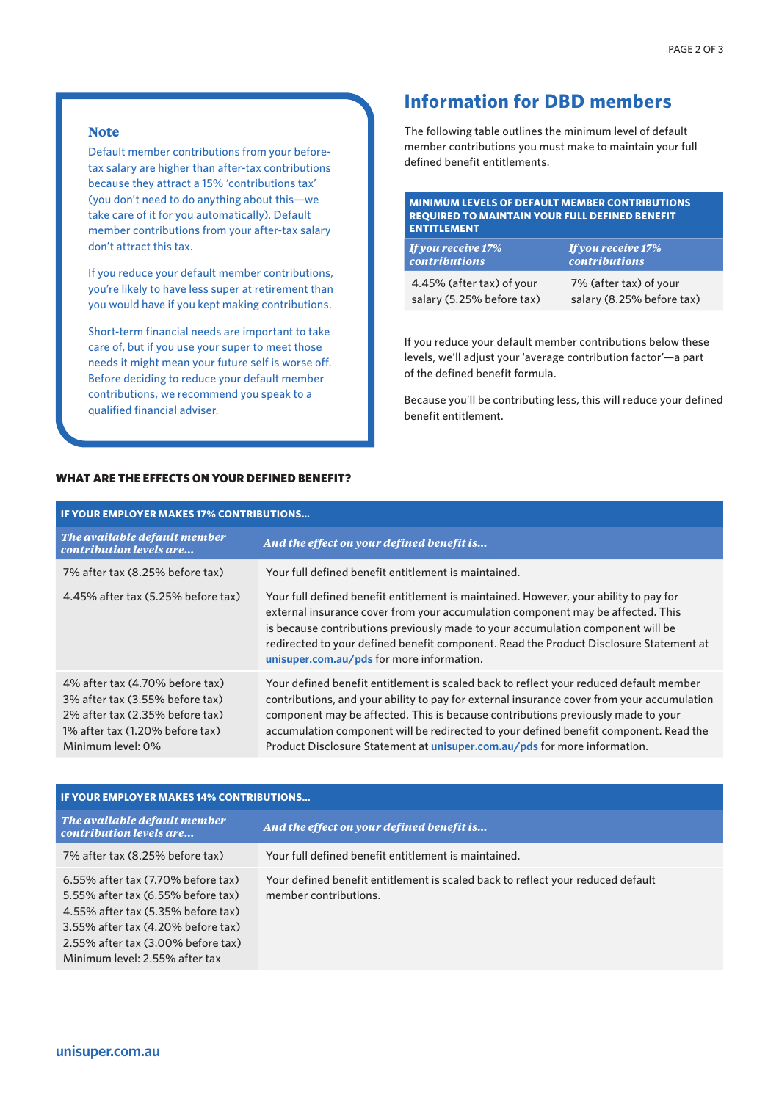#### **Note**

Default member contributions from your beforetax salary are higher than after-tax contributions because they attract a 15% 'contributions tax' (you don't need to do anything about this—we take care of it for you automatically). Default member contributions from your after-tax salary don't attract this tax.

If you reduce your default member contributions, you're likely to have less super at retirement than you would have if you kept making contributions.

Short-term financial needs are important to take care of, but if you use your super to meet those needs it might mean your future self is worse off. Before deciding to reduce your default member contributions, we recommend you speak to a qualified financial adviser.

# **Information for DBD members**

The following table outlines the minimum level of default member contributions you must make to maintain your full defined benefit entitlements.

#### **MINIMUM LEVELS OF DEFAULT MEMBER CONTRIBUTIONS REQUIRED TO MAINTAIN YOUR FULL DEFINED BENEFIT ENTITLEMENT**

| <b>If you receive 17%</b><br><b>contributions</b> | <b>If you receive 17%</b><br>$\sim$ contributions $\sim$ |
|---------------------------------------------------|----------------------------------------------------------|
| 4.45% (after tax) of your                         | 7% (after tax) of your                                   |
| salary (5.25% before tax)                         | salary (8.25% before tax)                                |

If you reduce your default member contributions below these levels, we'll adjust your 'average contribution factor'—a part of the defined benefit formula.

Because you'll be contributing less, this will reduce your defined benefit entitlement.

## WHAT ARE THE EFFECTS ON YOUR DEFINED BENEFIT?

| <b>IF YOUR EMPLOYER MAKES 17% CONTRIBUTIONS</b>                                                                                                               |                                                                                                                                                                                                                                                                                                                                                                                                                                                |  |  |  |
|---------------------------------------------------------------------------------------------------------------------------------------------------------------|------------------------------------------------------------------------------------------------------------------------------------------------------------------------------------------------------------------------------------------------------------------------------------------------------------------------------------------------------------------------------------------------------------------------------------------------|--|--|--|
| The available default member<br>contribution levels are                                                                                                       | And the effect on your defined benefit is                                                                                                                                                                                                                                                                                                                                                                                                      |  |  |  |
| 7% after tax (8.25% before tax)                                                                                                                               | Your full defined benefit entitlement is maintained.                                                                                                                                                                                                                                                                                                                                                                                           |  |  |  |
| 4.45% after tax (5.25% before tax)                                                                                                                            | Your full defined benefit entitlement is maintained. However, your ability to pay for<br>external insurance cover from your accumulation component may be affected. This<br>is because contributions previously made to your accumulation component will be<br>redirected to your defined benefit component. Read the Product Disclosure Statement at<br>unisuper.com.au/pds for more information.                                             |  |  |  |
| 4% after tax (4.70% before tax)<br>3% after tax (3.55% before tax)<br>2% after tax (2.35% before tax)<br>1% after tax (1.20% before tax)<br>Minimum level: 0% | Your defined benefit entitlement is scaled back to reflect your reduced default member<br>contributions, and your ability to pay for external insurance cover from your accumulation<br>component may be affected. This is because contributions previously made to your<br>accumulation component will be redirected to your defined benefit component. Read the<br>Product Disclosure Statement at unisuper.com.au/pds for more information. |  |  |  |

| <b>IF YOUR EMPLOYER MAKES 14% CONTRIBUTIONS</b>                                                                                                                                                                                          |                                                                                                          |  |  |  |  |
|------------------------------------------------------------------------------------------------------------------------------------------------------------------------------------------------------------------------------------------|----------------------------------------------------------------------------------------------------------|--|--|--|--|
| The available default member<br>contribution levels are                                                                                                                                                                                  | And the effect on your defined benefit is                                                                |  |  |  |  |
| 7% after tax (8.25% before tax)                                                                                                                                                                                                          | Your full defined benefit entitlement is maintained.                                                     |  |  |  |  |
| $6.55\%$ after tax $(7.70\%$ before tax)<br>5.55% after tax (6.55% before tax)<br>4.55% after tax (5.35% before tax)<br>3.55% after tax (4.20% before tax)<br>$2.55\%$ after tax $(3.00\%$ before tax)<br>Minimum level: 2.55% after tax | Your defined benefit entitlement is scaled back to reflect your reduced default<br>member contributions. |  |  |  |  |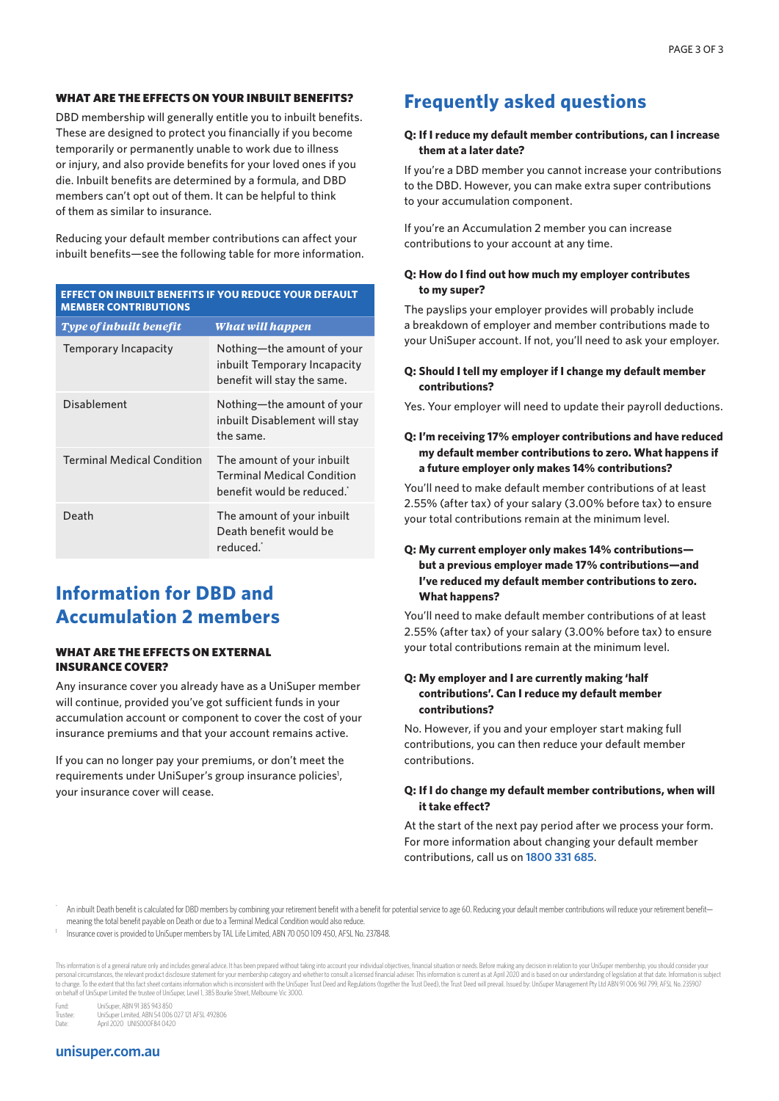#### WHAT ARE THE EFFECTS ON YOUR INBUILT BENEFITS?

DBD membership will generally entitle you to inbuilt benefits. These are designed to protect you financially if you become temporarily or permanently unable to work due to illness or injury, and also provide benefits for your loved ones if you die. Inbuilt benefits are determined by a formula, and DBD members can't opt out of them. It can be helpful to think of them as similar to insurance.

Reducing your default member contributions can affect your inbuilt benefits—see the following table for more information.

| EFFECT ON INBUILT BENEFITS IF YOU REDUCE YOUR DEFAULT<br><b>MEMBER CONTRIBUTIONS</b> |                                                                                               |  |  |  |
|--------------------------------------------------------------------------------------|-----------------------------------------------------------------------------------------------|--|--|--|
| <b>Type of inbuilt benefit</b>                                                       | What will happen                                                                              |  |  |  |
| Temporary Incapacity                                                                 | Nothing—the amount of your<br>inbuilt Temporary Incapacity<br>benefit will stay the same.     |  |  |  |
| Disablement                                                                          | Nothing-the amount of your<br>inbuilt Disablement will stay<br>the same.                      |  |  |  |
| <b>Terminal Medical Condition</b>                                                    | The amount of your inbuilt<br><b>Terminal Medical Condition</b><br>benefit would be reduced.' |  |  |  |
| Death                                                                                | The amount of your inbuilt<br>Death benefit would be<br>reduced.'                             |  |  |  |

# **Information for DBD and Accumulation 2 members**

#### WHAT ARE THE EFFECTS ON EXTERNAL INSURANCE COVER?

Any insurance cover you already have as a UniSuper member will continue, provided you've got sufficient funds in your accumulation account or component to cover the cost of your insurance premiums and that your account remains active.

If you can no longer pay your premiums, or don't meet the requirements under UniSuper's group insurance policies<sup>1</sup>, your insurance cover will cease.

# **Frequently asked questions**

#### **Q: If I reduce my default member contributions, can I increase them at a later date?**

If you're a DBD member you cannot increase your contributions to the DBD. However, you can make extra super contributions to your accumulation component.

If you're an Accumulation 2 member you can increase contributions to your account at any time.

#### **Q: How do I find out how much my employer contributes to my super?**

The payslips your employer provides will probably include a breakdown of employer and member contributions made to your UniSuper account. If not, you'll need to ask your employer.

#### **Q: Should I tell my employer if I change my default member contributions?**

Yes. Your employer will need to update their payroll deductions.

#### **Q: I'm receiving 17% employer contributions and have reduced my default member contributions to zero. What happens if a future employer only makes 14% contributions?**

You'll need to make default member contributions of at least 2.55% (after tax) of your salary (3.00% before tax) to ensure your total contributions remain at the minimum level.

#### **Q: My current employer only makes 14% contributions but a previous employer made 17% contributions—and I've reduced my default member contributions to zero. What happens?**

You'll need to make default member contributions of at least 2.55% (after tax) of your salary (3.00% before tax) to ensure your total contributions remain at the minimum level.

#### **Q: My employer and I are currently making 'half contributions'. Can I reduce my default member contributions?**

No. However, if you and your employer start making full contributions, you can then reduce your default member contributions.

#### **Q: If I do change my default member contributions, when will it take effect?**

At the start of the next pay period after we process your form. For more information about changing your default member contributions, call us on **1800 331 685**.

An inbuilt Death benefit is calculated for DBD members by combining your retirement benefit with a benefit or potential service to age 60. Reducing your default member contributions will reduce your retirement benefitmeaning the total benefit payable on Death or due to a Terminal Medical Condition would also reduce.

This information is of a general nature only and includes general advice. It has been prepared without taking into account your individual objectives, financial situation or needs. Before making any decision in relation to personal circumstances, the relevant product disclosure statement for your membership category and whether to consult a licensed financial adviser. This information is surrent as at April 2020 and is based on our understan on behalf of UniSuper Limited the trustee of UniSuper, Level 1, 385 Bourke Street, Melbourne Vic 3000.

Fund: UniSuper, ABN 91 385 943 850

Trustee: UniSuper Limited, ABN 54 006 027 121 AFSL 492806<br>
Date: Anril 2020 UNISO00E84 0420 Date: April 2020 UNIS000F84 0420

#### **unisuper.com.au**

<sup>1</sup> Insurance cover is provided to UniSuper members by TAL Life Limited, ABN 70 050 109 450, AFSL No. 237848.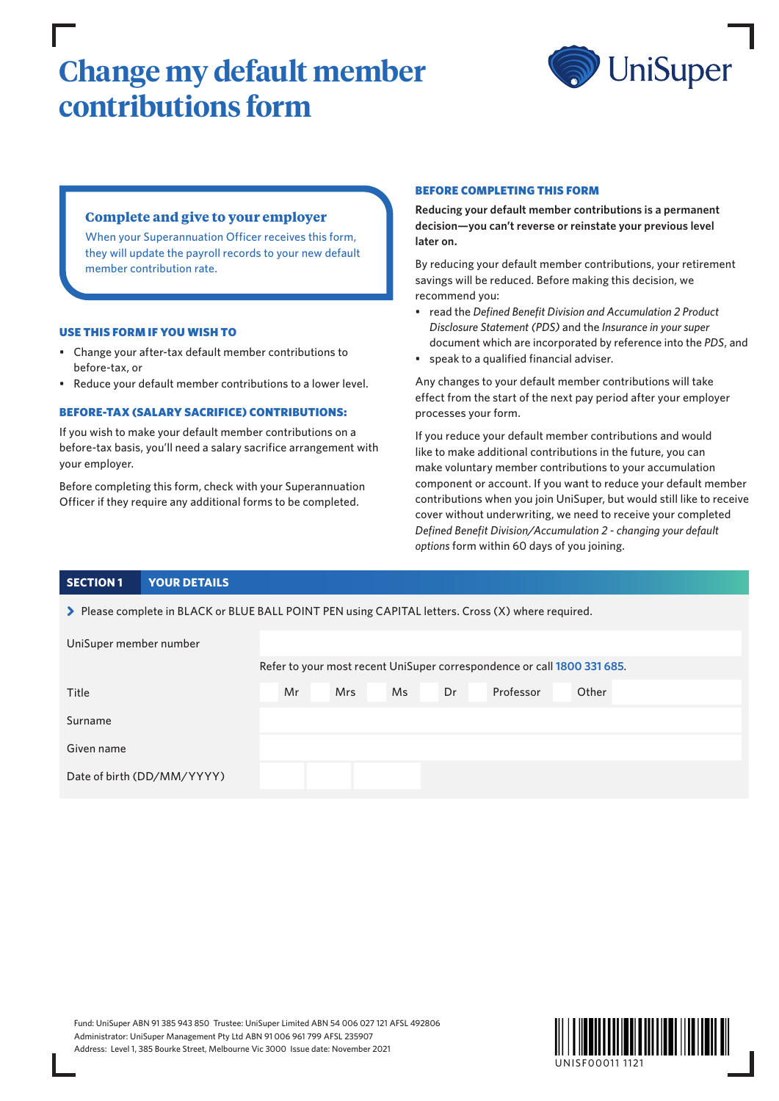# **Change my default member contributions form**



## **Complete and give to your employer**

When your Superannuation Officer receives this form, they will update the payroll records to your new default member contribution rate.

#### USE THIS FORM IF YOU WISH TO

- Change your after-tax default member contributions to before-tax, or
- Reduce your default member contributions to a lower level.

#### BEFORE-TAX (SALARY SACRIFICE) CONTRIBUTIONS:

If you wish to make your default member contributions on a before-tax basis, you'll need a salary sacrifice arrangement with your employer.

Before completing this form, check with your Superannuation Officer if they require any additional forms to be completed.

#### BEFORE COMPLETING THIS FORM

**Reducing your default member contributions is a permanent decision—you can't reverse or reinstate your previous level later on.**

By reducing your default member contributions, your retirement savings will be reduced. Before making this decision, we recommend you:

- read the *Defined Benefit Division and Accumulation 2 Product Disclosure Statement (PDS)* and the *Insurance in your super* document which are incorporated by reference into the *PDS*, and
- speak to a qualified financial adviser.

Any changes to your default member contributions will take effect from the start of the next pay period after your employer processes your form.

If you reduce your default member contributions and would like to make additional contributions in the future, you can make voluntary member contributions to your accumulation component or account. If you want to reduce your default member contributions when you join UniSuper, but would still like to receive cover without underwriting, we need to receive your completed *Defined Benefit Division/Accumulation 2 - changing your default options* form within 60 days of you joining.

#### **SECTION 1 YOUR DETAILS**

> Please complete in BLACK or BLUE BALL POINT PEN using CAPITAL letters. Cross (X) where required.

| UniSuper member number     |                                                                         |  |            |  |     |    |           |       |  |  |
|----------------------------|-------------------------------------------------------------------------|--|------------|--|-----|----|-----------|-------|--|--|
|                            | Refer to your most recent UniSuper correspondence or call 1800 331 685. |  |            |  |     |    |           |       |  |  |
| Title                      | Mr                                                                      |  | <b>Mrs</b> |  | Ms. | Dr | Professor | Other |  |  |
| Surname                    |                                                                         |  |            |  |     |    |           |       |  |  |
| Given name                 |                                                                         |  |            |  |     |    |           |       |  |  |
| Date of birth (DD/MM/YYYY) |                                                                         |  |            |  |     |    |           |       |  |  |

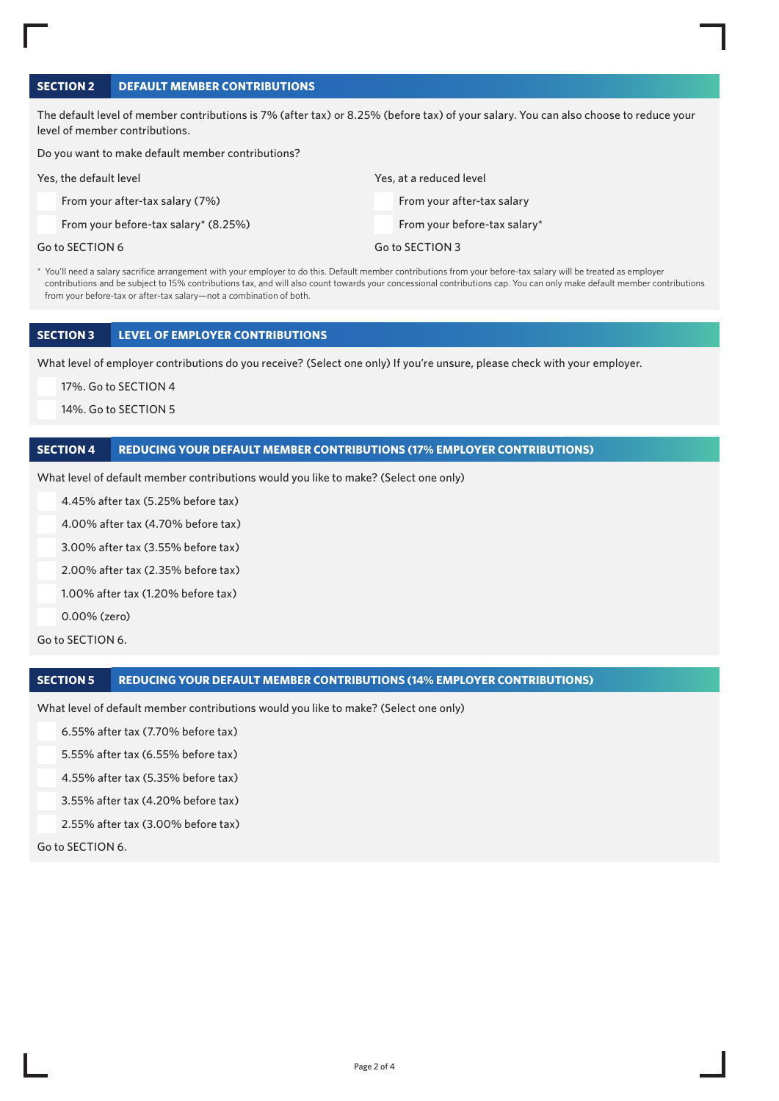## **SECTION 2 DEFAULT MEMBER CONTRIBUTIONS**

The default level of member contributions is 7% (after tax) or 8.25% (before tax) of your salary. You can also choose to reduce your level of member contributions.

Do you want to make default member contributions?

| Yes, the default level                 | Yes, at a reduced level      |
|----------------------------------------|------------------------------|
| From your after-tax salary (7%)        | From your after-tax salary   |
| From your before-tax salary* $(8.25%)$ | From your before-tax salary* |
| Go to SECTION 6                        | Go to SECTION 3              |

\* You'll need a salary sacrifice arrangement with your employer to do this. Default member contributions from your before-tax salary will be treated as employer contributions and be subject to 15% contributions tax, and will also count towards your concessional contributions cap. You can only make default member contributions from your before-tax or after-tax salary—not a combination of both.

#### **SECTION 3 LEVEL OF EMPLOYER CONTRIBUTIONS**

What level of employer contributions do you receive? (Select one only) If you're unsure, please check with your employer.

17%. Go to SECTION 4

14%. Go to SECTION 5

#### **SECTION 4 REDUCING YOUR DEFAULT MEMBER CONTRIBUTIONS (17% EMPLOYER CONTRIBUTIONS)**

What level of default member contributions would you like to make? (Select one only)

4.45% after tax (5.25% before tax)

4.00% after tax (4.70% before tax)

3.00% after tax (3.55% before tax)

2.00% after tax (2.35% before tax)

1.00% after tax (1.20% before tax)

0.00% (zero)

Go to SECTION 6.

#### **SECTION 5 REDUCING YOUR DEFAULT MEMBER CONTRIBUTIONS (14% EMPLOYER CONTRIBUTIONS)**

What level of default member contributions would you like to make? (Select one only)

6.55% after tax (7.70% before tax)

5.55% after tax (6.55% before tax)

4.55% after tax (5.35% before tax)

3.55% after tax (4.20% before tax)

2.55% after tax (3.00% before tax)

Go to SECTION 6.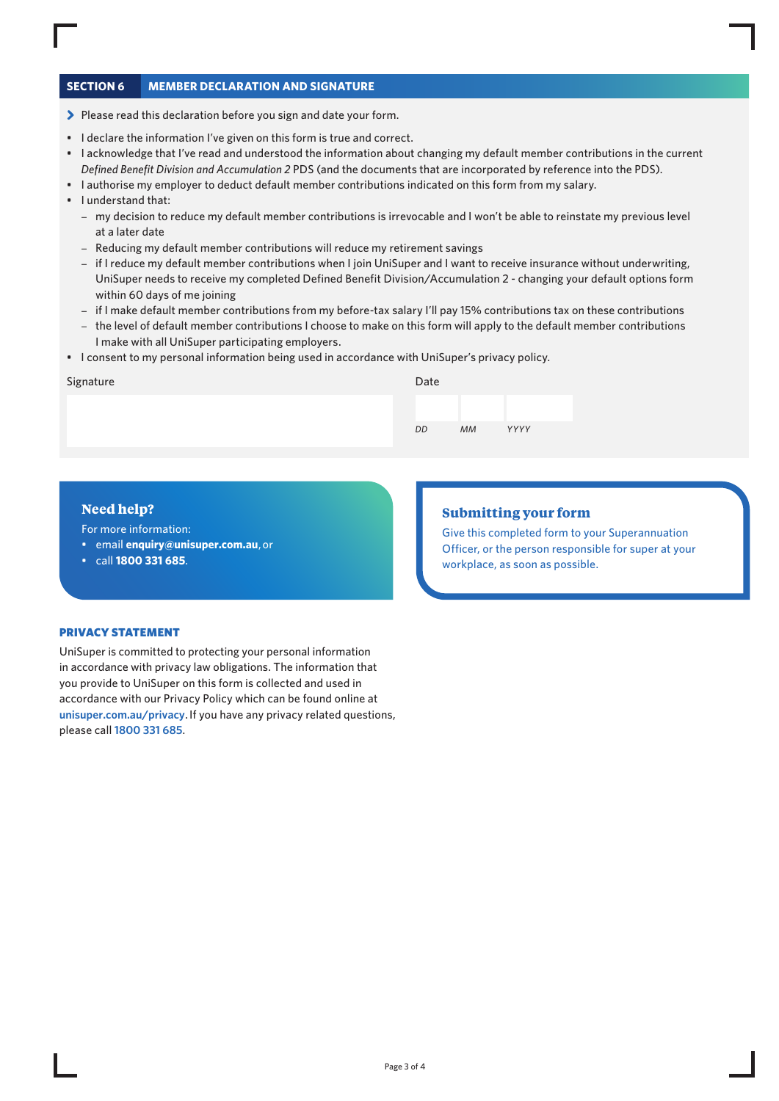## **SECTION 6 MEMBER DECLARATION AND SIGNATURE**

- > Please read this declaration before you sign and date your form.
- I declare the information I've given on this form is true and correct.
- I acknowledge that I've read and understood the information about changing my default member contributions in the current *Defined Benefit Division and Accumulation 2* PDS (and the documents that are incorporated by reference into the PDS).
- I authorise my employer to deduct default member contributions indicated on this form from my salary.
- I understand that:
	- my decision to reduce my default member contributions is irrevocable and I won't be able to reinstate my previous level at a later date
	- Reducing my default member contributions will reduce my retirement savings
	- if I reduce my default member contributions when I join UniSuper and I want to receive insurance without underwriting, UniSuper needs to receive my completed Defined Benefit Division/Accumulation 2 - changing your default options form within 60 days of me joining
	- if I make default member contributions from my before-tax salary I'll pay 15% contributions tax on these contributions
	- the level of default member contributions I choose to make on this form will apply to the default member contributions I make with all UniSuper participating employers.
- I consent to my personal information being used in accordance with UniSuper's privacy policy.

#### Signature

| Date |           |      |  |
|------|-----------|------|--|
|      |           |      |  |
| DD   | <b>MM</b> | YYYY |  |

### **Need help?**

For more information:

- email **enquiry@unisuper.com.au** , or
- call **1800 331 685**.

## **Submitting your form**

Give this completed form to your Superannuation Officer, or the person responsible for super at your workplace, as soon as possible.

#### PRIVACY STATEMENT

UniSuper is committed to protecting your personal information in accordance with privacy law obligations. The information that you provide to UniSuper on this form is collected and used in accordance with our Privacy Policy which can be found online at **[unisuper.com.au/privacy](http://unisuper.com.au/privacy)** . If you have any privacy related questions, please call **1800 331 685**.